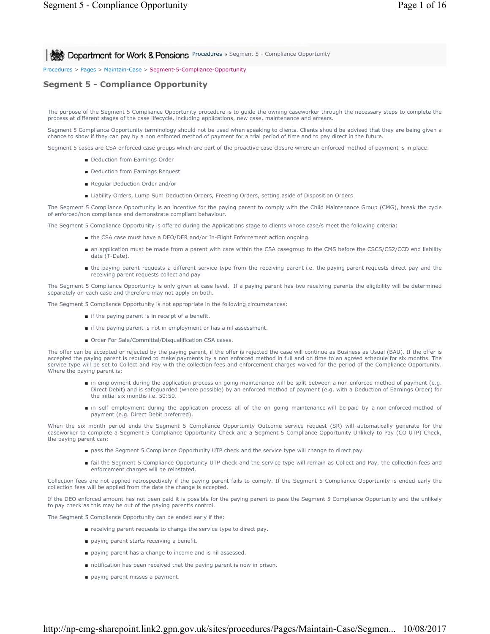# **Procedures > Segment 5 - Compliance Opportunity**

#### Procedures > Pages > Maintain-Case > Segment-5-Compliance-Opportunity

## **Segment 5 - Compliance Opportunity**

The purpose of the Segment 5 Compliance Opportunity procedure is to guide the owning caseworker through the necessary steps to complete the process at different stages of the case lifecycle, including applications, new case, maintenance and arrears.

Segment 5 Compliance Opportunity terminology should not be used when speaking to clients. Clients should be advised that they are being given a chance to show if they can pay by a non enforced method of payment for a trial period of time and to pay direct in the future.

Segment 5 cases are CSA enforced case groups which are part of the proactive case closure where an enforced method of payment is in place:

- Deduction from Earnings Order
- Deduction from Earnings Request
- Regular Deduction Order and/or
- Liability Orders, Lump Sum Deduction Orders, Freezing Orders, setting aside of Disposition Orders

The Segment 5 Compliance Opportunity is an incentive for the paying parent to comply with the Child Maintenance Group (CMG), break the cycle of enforced/non compliance and demonstrate compliant behaviour.

The Segment 5 Compliance Opportunity is offered during the Applications stage to clients whose case/s meet the following criteria:

- the CSA case must have a DEO/DER and/or In-Flight Enforcement action ongoing.
- an application must be made from a parent with care within the CSA casegroup to the CMS before the CSCS/CS2/CCD end liability date (T-Date).
- the paying parent requests a different service type from the receiving parent i.e. the paying parent requests direct pay and the receiving parent requests collect and pay

The Segment 5 Compliance Opportunity is only given at case level. If a paying parent has two receiving parents the eligibility will be determined separately on each case and therefore may not apply on both.

The Segment 5 Compliance Opportunity is not appropriate in the following circumstances:

- if the paying parent is in receipt of a benefit.
- if the paying parent is not in employment or has a nil assessment.
- Order For Sale/Committal/Disqualification CSA cases.

The offer can be accepted or rejected by the paying parent, if the offer is rejected the case will continue as Business as Usual (BAU). If the offer is accepted the paying parent is required to make payments by a non enforced method in full and on time to an agreed schedule for six months. The service type will be set to Collect and Pay with the collection fees and enforcement charges waived for the period of the Compliance Opportunity. Where the paying parent is:

- in employment during the application process on going maintenance will be split between a non enforced method of payment (e.g. Direct Debit) and is safeguarded (where possible) by an enforced method of payment (e.g. with a Deduction of Earnings Order) for the initial six months i.e. 50:50.
- in self employment during the application process all of the on going maintenance will be paid by a non enforced method of payment (e.g. Direct Debit preferred).

When the six month period ends the Segment 5 Compliance Opportunity Outcome service request (SR) will automatically generate for the caseworker to complete a Segment 5 Compliance Opportunity Check and a Segment 5 Compliance Opportunity Unlikely to Pay (CO UTP) Check, the paying parent can:

- pass the Segment 5 Compliance Opportunity UTP check and the service type will change to direct pay.
- fail the Segment 5 Compliance Opportunity UTP check and the service type will remain as Collect and Pay, the collection fees and enforcement charges will be reinstated.

Collection fees are not applied retrospectively if the paying parent fails to comply. If the Segment 5 Compliance Opportunity is ended early the collection fees will be applied from the date the change is accepted.

If the DEO enforced amount has not been paid it is possible for the paying parent to pass the Segment 5 Compliance Opportunity and the unlikely to pay check as this may be out of the paying parent's control.

The Segment 5 Compliance Opportunity can be ended early if the:

- receiving parent requests to change the service type to direct pay.
- paying parent starts receiving a benefit.
- paying parent has a change to income and is nil assessed.
- notification has been received that the paying parent is now in prison.
- paying parent misses a payment.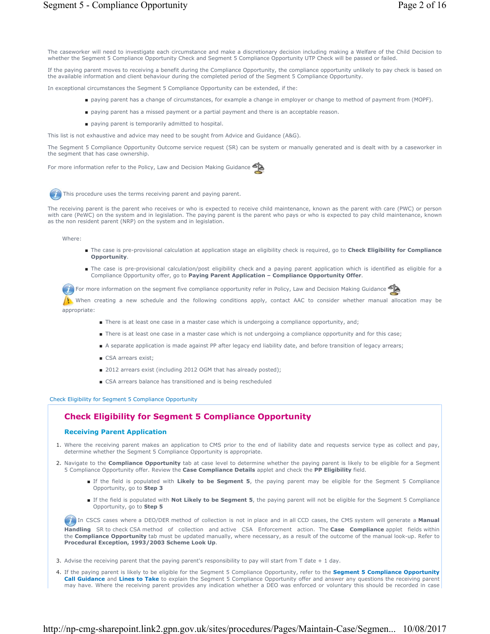The caseworker will need to investigate each circumstance and make a discretionary decision including making a Welfare of the Child Decision to whether the Segment 5 Compliance Opportunity Check and Segment 5 Compliance Opportunity UTP Check will be passed or failed.

If the paying parent moves to receiving a benefit during the Compliance Opportunity, the compliance opportunity unlikely to pay check is based on the available information and client behaviour during the completed period of the Segment 5 Compliance Opportunity.

In exceptional circumstances the Segment 5 Compliance Opportunity can be extended, if the:

- paying parent has a change of circumstances, for example a change in employer or change to method of payment from (MOPF).
- paying parent has a missed payment or a partial payment and there is an acceptable reason.
- paying parent is temporarily admitted to hospital.

This list is not exhaustive and advice may need to be sought from Advice and Guidance (A&G).

The Segment 5 Compliance Opportunity Outcome service request (SR) can be system or manually generated and is dealt with by a caseworker in the segment that has case ownership.

For more information refer to the Policy, Law and Decision Making Guidance



This procedure uses the terms receiving parent and paying parent.

The receiving parent is the parent who receives or who is expected to receive child maintenance, known as the parent with care (PWC) or person with care (PeWC) on the system and in legislation. The paying parent is the parent who pays or who is expected to pay child maintenance, known as the non resident parent (NRP) on the system and in legislation.

Where:

- The case is pre-provisional calculation at application stage an eligibility check is required, go to **Check Eligibility for Compliance Opportunity**.
- The case is pre-provisional calculation/post eligibility check and a paying parent application which is identified as eligible for a Compliance Opportunity offer, go to **Paying Parent Application – Compliance Opportunity Offer**.

For more information on the segment five compliance opportunity refer in Policy, Law and Decision Making Guidance

When creating a new schedule and the following conditions apply, contact AAC to consider whether manual allocation may be appropriate:

- There is at least one case in a master case which is undergoing a compliance opportunity, and;
- There is at least one case in a master case which is not undergoing a compliance opportunity and for this case;
- A separate application is made against PP after legacy end liability date, and before transition of legacy arrears;
- CSA arrears exist;
- 2012 arrears exist (including 2012 OGM that has already posted);
- CSA arrears balance has transitioned and is being rescheduled

Check Eligibility for Segment 5 Compliance Opportunity

# **Check Eligibility for Segment 5 Compliance Opportunity**

## **Receiving Parent Application**

- 1. Where the receiving parent makes an application to CMS prior to the end of liability date and requests service type as collect and pay, determine whether the Segment 5 Compliance Opportunity is appropriate.
- 2. Navigate to the **Compliance Opportunity** tab at case level to determine whether the paying parent is likely to be eligible for a Segment 5 Compliance Opportunity offer. Review the **Case Compliance Details** applet and check the **PP Eligibility** field.
	- If the field is populated with Likely to be Segment 5, the paying parent may be eligible for the Segment 5 Compliance Opportunity, go to **Step 3**
	- If the field is populated with Not Likely to be Segment 5, the paying parent will not be eligible for the Segment 5 Compliance Opportunity, go to **Step 5**

 In CSCS cases where a DEO/DER method of collection is not in place and in all CCD cases, the CMS system will generate a **Manual Handling** SR to check CSA method of collection and active CSA Enforcement action. The **Case Compliance** applet fields within the **Compliance Opportunity** tab must be updated manually, where necessary, as a result of the outcome of the manual look-up. Refer to **Procedural Exception, 1993/2003 Scheme Look Up**.

- 3. Advise the receiving parent that the paying parent's responsibility to pay will start from  $\top$  date  $+1$  day.
- If the paying parent is likely to be eligible for the Segment 5 Compliance Opportunity, refer to the **Segment 5 Compliance Opportunity**  4. **Call Guidance** and **Lines to Take** to explain the Segment 5 Compliance Opportunity offer and answer any questions the receiving parent may have. Where the receiving parent provides any indication whether a DEO was enforced or voluntary this should be recorded in case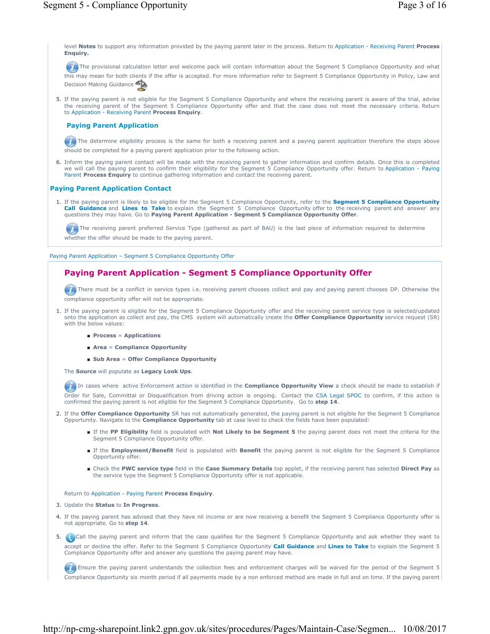level **Notes** to support any information provided by the paying parent later in the process. Return to Application - Receiving Parent **Process Enquiry.**

The provisional calculation letter and welcome pack will contain information about the Segment 5 Compliance Opportunity and what this may mean for both clients if the offer is accepted. For more information refer to Segment 5 Compliance Opportunity in Policy, Law and Decision Making Guidance

5. If the paying parent is not eligible for the Segment 5 Compliance Opportunity and where the receiving parent is aware of the trial, advise the receiving parent of the Segment 5 Compliance Opportunity offer and that the case does not meet the necessary criteria. Return to Application - Receiving Parent **Process Enquiry**.

# **Paying Parent Application**

The determine eligibility process is the same for both a receiving parent and a paying parent application therefore the steps above should be completed for a paying parent application prior to the following action.

6. Inform the paying parent contact will be made with the receiving parent to gather information and confirm details. Once this is completed we will call the paying parent to confirm their eligibility for the Segment 5 Compliance Opportunity offer. Return to Application - Paying Parent **Process Enquiry** to continue gathering information and contact the receiving parent.

# **Paying Parent Application Contact**

1. If the paying parent is likely to be eligible for the Segment 5 Compliance Opportunity, refer to the **Segment 5 Compliance Opportunity Call Guidance** and **Lines to Take** to explain the Segment 5 Compliance Opportunity offer to the receiving parent and answer any questions they may have. Go to **Paying Parent Application - Segment 5 Compliance Opportunity Offer**.

The receiving parent preferred Service Type (gathered as part of BAU) is the last piece of information required to determine whether the offer should be made to the paying parent.

Paying Parent Application – Segment 5 Compliance Opportunity Offer

# **Paying Parent Application - Segment 5 Compliance Opportunity Offer**

There must be a conflict in service types i.e. receiving parent chooses collect and pay and paying parent chooses DP. Otherwise the compliance opportunity offer will not be appropriate.

- 1. If the paying parent is eligible for the Segment 5 Compliance Opportunity offer and the receiving parent service type is selected/updated onto the application as collect and pay, the CMS system will automatically create the **Offer Compliance Opportunity** service request (SR) with the below values:
	- **Process** = **Applications**
	- **Area** = **Compliance Opportunity**
	- **Sub Area** = **Offer Compliance Opportunity**

The **Source** will populate as **Legacy Look Ups**.

**In** cases where active Enforcement action is identified in the **Compliance Opportunity View** a check should be made to establish if Order for Sale, Committal or Disqualification from driving action is ongoing. Contact the CSA Legal SPOC to confirm, if this action is confirmed the paying parent is not eligible for the Segment 5 Compliance Opportunity. Go to **step 14**.

- 2. If the **Offer Compliance Opportunity** SR has not automatically generated, the paying parent is not eligible for the Segment 5 Compliance Opportunity. Navigate to the **Compliance Opportunity** tab at case level to check the fields have been populated:
	- If the PP Eligibility field is populated with Not Likely to be Segment 5 the paying parent does not meet the criteria for the Segment 5 Compliance Opportunity offer.
	- If the Employment/Benefit field is populated with Benefit the paying parent is not eligible for the Segment 5 Compliance Opportunity offer.
	- Check the PWC service type field in the Case Summary Details top applet, if the receiving parent has selected Direct Pay as the service type the Segment 5 Compliance Opportunity offer is not applicable.

Return to Application - Paying Parent **Process Enquiry**.

- 3. Update the **Status** to **In Progress**.
- 4. If the paying parent has advised that they have nil income or are now receiving a benefit the Segment 5 Compliance Opportunity offer is not appropriate. Go to **step 14**.

5. Call the paying parent and inform that the case qualifies for the Segment 5 Compliance Opportunity and ask whether they want to accept or decline the offer. Refer to the Segment 5 Compliance Opportunity **Call Guidance** and **Lines to Take** to explain the Segment 5 Compliance Opportunity offer and answer any questions the paying parent may have.

**Example 1** Ensure the paying parent understands the collection fees and enforcement charges will be waived for the period of the Segment 5 Compliance Opportunity six month period if all payments made by a non enforced method are made in full and on time. If the paying parent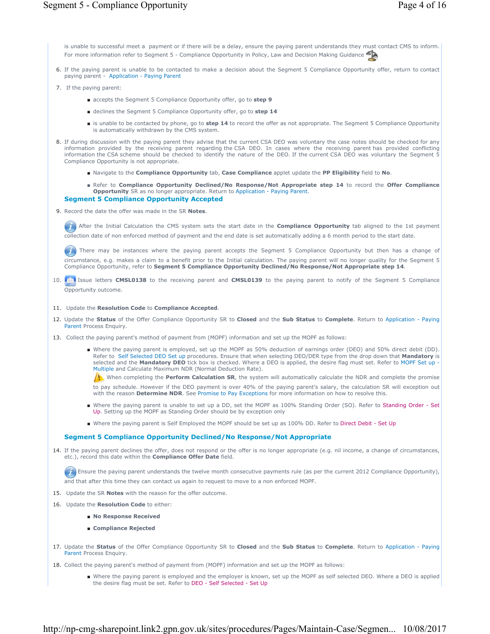is unable to successful meet a payment or if there will be a delay, ensure the paying parent understands they must contact CMS to inform. For more information refer to Segment 5 - Compliance Opportunity in Policy, Law and Decision Making Guidance

- 6. If the paying parent is unable to be contacted to make a decision about the Segment 5 Compliance Opportunity offer, return to contact paying parent - Application - Paying Parent
- 7. If the paying parent:
	- accepts the Segment 5 Compliance Opportunity offer, go to **step 9**
	- declines the Segment 5 Compliance Opportunity offer, go to step 14
	- is unable to be contacted by phone, go to step 14 to record the offer as not appropriate. The Segment 5 Compliance Opportunity is automatically withdrawn by the CMS system.
- If during discussion with the paying parent they advise that the current CSA DEO was voluntary the case notes should be checked for any information provided by the receiving parent regarding the CSA DEO. In cases where the receiving parent has provided conflicting information the CSA scheme should be checked to identify the nature of the DEO. If the current CSA DEO was voluntary the Segment 5 Compliance Opportunity is not appropriate. 8.
	- Navigate to the **Compliance Opportunity** tab, **Case Compliance** applet update the **PP Eligibility** field to **No**.
	- Refer to **Compliance Opportunity Declined/No Response/Not Appropriate step 14** to record the Offer Compliance **Opportunity** SR as no longer appropriate. Return to Application - Paying Parent.

## **Segment 5 Compliance Opportunity Accepted**

9. Record the date the offer was made in the SR Notes.

After the Initial Calculation the CMS system sets the start date in the **Compliance Opportunity** tab aligned to the 1st payment collection date of non enforced method of payment and the end date is set automatically adding a 6 month period to the start date.

There may be instances where the paying parent accepts the Segment 5 Compliance Opportunity but then has a change of circumstance, e.g. makes a claim to a benefit prior to the Initial calculation. The paying parent will no longer quality for the Segment 5 Compliance Opportunity, refer to **Segment 5 Compliance Opportunity Declined/No Response/Not Appropriate step 14**.

- 10. **I** Issue letters **CMSL0138** to the receiving parent and **CMSL0139** to the paying parent to notify of the Segment 5 Compliance Opportunity outcome.
- 11. Update the **Resolution Code** to **Compliance Accepted**.
- 12. Update the Status of the Offer Compliance Opportunity SR to Closed and the Sub Status to Complete. Return to Application Paying Parent Process Enquiry.
- 13. Collect the paying parent's method of payment from (MOPF) information and set up the MOPF as follows:
	- Where the paying parent is employed, set up the MOPF as 50% deduction of earnings order (DEO) and 50% direct debit (DD). Refer to Self Selected DEO Set up procedures. Ensure that when selecting DEO/DER type from the drop down that **Mandatory** is selected and the **Mandatory DEO** tick box is checked. Where a DEO is applied, the desire flag must set. Refer to MOPF Set up - Multiple and Calculate Maximum NDR (Normal Deduction Rate).

When completing the **Perform Calculation SR**, the system will automatically calculate the NDR and complete the promise to pay schedule. However if the DEO payment is over 40% of the paying parent's salary, the calculation SR will exception out with the reason **Determine NDR**. See Promise to Pay Exceptions for more information on how to resolve this.

- Where the paying parent is unable to set up a DD, set the MOPF as 100% Standing Order (SO). Refer to Standing Order Set Up. Setting up the MOPF as Standing Order should be by exception only
- Where the paying parent is Self Employed the MOPF should be set up as 100% DD. Refer to Direct Debit Set Up

#### **Segment 5 Compliance Opportunity Declined/No Response/Not Appropriate**

14. If the paying parent declines the offer, does not respond or the offer is no longer appropriate (e.g. nil income, a change of circumstances, etc.), record this date within the **Compliance Offer Date** field.

 $\blacktriangledown$  Ensure the paying parent understands the twelve month consecutive payments rule (as per the current 2012 Compliance Opportunity), and that after this time they can contact us again to request to move to a non enforced MOPF.

- 15. Update the SR **Notes** with the reason for the offer outcome.
- 16. Update the **Resolution Code** to either:
	- **No Response Received**
	- **Compliance Rejected**
- 17. Update the Status of the Offer Compliance Opportunity SR to Closed and the Sub Status to Complete. Return to Application Paying Parent Process Enquiry.
- 18. Collect the paying parent's method of payment from (MOPF) information and set up the MOPF as follows:
	- Where the paying parent is employed and the employer is known, set up the MOPF as self selected DEO. Where a DEO is applied the desire flag must be set. Refer to DEO - Self Selected - Set Up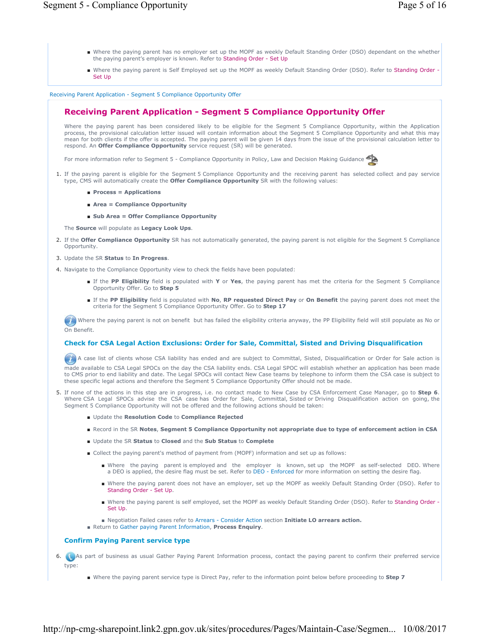- Where the paying parent has no employer set up the MOPF as weekly Default Standing Order (DSO) dependant on the whether the paying parent's employer is known. Refer to Standing Order - Set Up
- Where the paying parent is Self Employed set up the MOPF as weekly Default Standing Order (DSO). Refer to Standing Order -Set Up

Receiving Parent Application - Segment 5 Compliance Opportunity Offer

# **Receiving Parent Application - Segment 5 Compliance Opportunity Offer**

Where the paying parent has been considered likely to be eligible for the Segment 5 Compliance Opportunity, within the Application process, the provisional calculation letter issued will contain information about the Segment 5 Compliance Opportunity and what this may mean for both clients if the offer is accepted. The paying parent will be given 14 days from the issue of the provisional calculation letter to respond. An **Offer Compliance Opportunity** service request (SR) will be generated.

For more information refer to Segment 5 - Compliance Opportunity in Policy, Law and Decision Making Guidance

- 1. If the paying parent is eligible for the Segment 5 Compliance Opportunity and the receiving parent has selected collect and pay service type, CMS will automatically create the **Offer Compliance Opportunity** SR with the following values:
	- **Process = Applications**
	- **Area = Compliance Opportunity**
	- **Sub Area = Offer Compliance Opportunity**

The **Source** will populate as **Legacy Look Ups**.

- 2. If the Offer Compliance Opportunity SR has not automatically generated, the paying parent is not eligible for the Segment 5 Compliance Opportunity.
- 3. Update the SR **Status** to **In Progress**.
- 4. Navigate to the Compliance Opportunity view to check the fields have been populated:
	- If the PP Eligibility field is populated with Y or Yes, the paying parent has met the criteria for the Segment 5 Compliance Opportunity Offer. Go to **Step 5**
	- If the PP Eligibility field is populated with No, RP requested Direct Pay or On Benefit the paying parent does not meet the criteria for the Segment 5 Compliance Opportunity Offer. Go to **Step 17**

Where the paying parent is not on benefit but has failed the eligibility criteria anyway, the PP Eligibility field will still populate as No or On Benefit.

# **Check for CSA Legal Action Exclusions: Order for Sale, Committal, Sisted and Driving Disqualification**

A case list of clients whose CSA liability has ended and are subject to Committal, Sisted, Disqualification or Order for Sale action is made available to CSA Legal SPOCs on the day the CSA liability ends. CSA Legal SPOC will establish whether an application has been made to CMS prior to end liability and date. The Legal SPOCs will contact New Case teams by telephone to inform them the CSA case is subject to these specific legal actions and therefore the Segment 5 Compliance Opportunity Offer should not be made.

- 5. If none of the actions in this step are in progress, i.e. no contact made to New Case by CSA Enforcement Case Manager, go to Step 6. Where CSA Legal SPOCs advise the CSA case has Order for Sale, Committal, Sisted or Driving Disqualification action on going, the Segment 5 Compliance Opportunity will not be offered and the following actions should be taken:
	- Update the **Resolution Code** to **Compliance Rejected**
	- Record in the SR **Notes**, **Segment 5 Compliance Opportunity not appropriate due to type of enforcement action in CSA**
	- Update the SR **Status** to **Closed** and the **Sub Status** to **Complete**
	- Collect the paying parent's method of payment from (MOPF) information and set up as follows:
		- Where the paying parent is employed and the employer is known, set up the MOPF as self-selected DEO. Where a DEO is applied, the desire flag must be set. Refer to DEO - Enforced for more information on setting the desire flag.
		- Where the paying parent does not have an employer, set up the MOPF as weekly Default Standing Order (DSO). Refer to Standing Order - Set Up.
		- Where the paying parent is self employed, set the MOPF as weekly Default Standing Order (DSO). Refer to Standing Order -Set Up.
		- Negotiation Failed cases refer to Arrears Consider Action section **Initiate LO arrears action.**
	- Return to Gather paying Parent Information, **Process Enquiry**.

# **Confirm Paying Parent service type**

- 6. **As part of business as usual Gather Paying Parent Information process, contact the paying parent to confirm their preferred service** type:
	- Where the paying parent service type is Direct Pay, refer to the information point below before proceeding to **Step 7**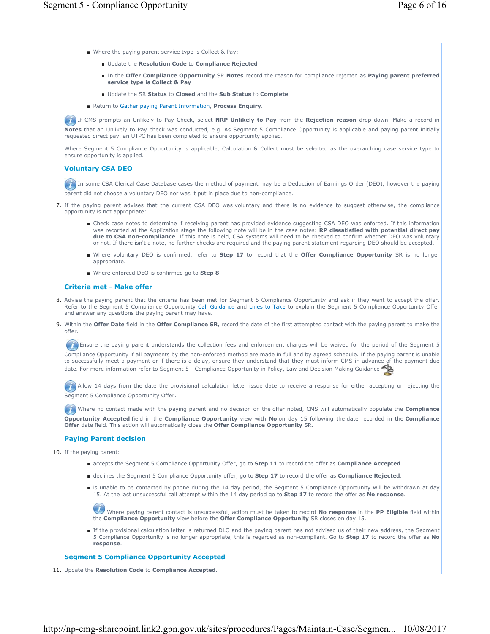- Where the paying parent service type is Collect & Pay:
	- Update the **Resolution Code** to **Compliance Rejected**
	- In the Offer Compliance Opportunity SR Notes record the reason for compliance rejected as Paying parent preferred **service type is Collect & Pay**
	- Update the SR **Status** to **Closed** and the **Sub Status** to **Complete**
- Return to Gather paying Parent Information, **Process Enquiry**.

 If CMS prompts an Unlikely to Pay Check, select **NRP Unlikely to Pay** from the **Rejection reason** drop down. Make a record in **Notes** that an Unlikely to Pay check was conducted, e.g. As Segment 5 Compliance Opportunity is applicable and paying parent initially requested direct pay, an UTPC has been completed to ensure opportunity applied.

Where Segment 5 Compliance Opportunity is applicable, Calculation & Collect must be selected as the overarching case service type to ensure opportunity is applied.

# **Voluntary CSA DEO**

In some CSA Clerical Case Database cases the method of payment may be a Deduction of Earnings Order (DEO), however the paying parent did not choose a voluntary DEO nor was it put in place due to non-compliance.

- 7. If the paying parent advises that the current CSA DEO was voluntary and there is no evidence to suggest otherwise, the compliance opportunity is not appropriate:
	- Check case notes to determine if receiving parent has provided evidence suggesting CSA DEO was enforced. If this information was recorded at the Application stage the following note will be in the case notes: **RP dissatisfied with potential direct pay due to CSA non-compliance**. If this note is held, CSA systems will need to be checked to confirm whether DEO was voluntary or not. If there isn't a note, no further checks are required and the paying parent statement regarding DEO should be accepted.
	- Where voluntary DEO is confirmed, refer to Step 17 to record that the Offer Compliance Opportunity SR is no longer appropriate.
	- Where enforced DEO is confirmed go to **Step 8**

### **Criteria met - Make offer**

- 8. Advise the paying parent that the criteria has been met for Segment 5 Compliance Opportunity and ask if they want to accept the offer. Refer to the Segment 5 Compliance Opportunity Call Guidance and Lines to Take to explain the Segment 5 Compliance Opportunity Offer and answer any questions the paying parent may have.
- 9. Within the Offer Date field in the Offer Compliance SR, record the date of the first attempted contact with the paying parent to make the offer.

**Ensure the paying parent understands the collection fees and enforcement charges will be waived for the period of the Segment 5** Compliance Opportunity if all payments by the non-enforced method are made in full and by agreed schedule. If the paying parent is unable to successfully meet a payment or if there is a delay, ensure they understand that they must inform CMS in advance of the payment due date. For more information refer to Segment 5 - Compliance Opportunity in Policy, Law and Decision Making Guidance

Allow 14 days from the date the provisional calculation letter issue date to receive a response for either accepting or rejecting the Segment 5 Compliance Opportunity Offer.

 Where no contact made with the paying parent and no decision on the offer noted, CMS will automatically populate the **Compliance Opportunity Accepted** field in the **Compliance Opportunity** view with **No** on day 15 following the date recorded in the **Compliance Offer** date field. This action will automatically close the **Offer Compliance Opportunity** SR.

## **Paying Parent decision**

10. If the paying parent:

- accepts the Segment 5 Compliance Opportunity Offer, go to **Step 11** to record the offer as **Compliance Accepted**.
- declines the Segment 5 Compliance Opportunity offer, go to **Step 17** to record the offer as **Compliance Rejected**.
- is unable to be contacted by phone during the 14 day period, the Segment 5 Compliance Opportunity will be withdrawn at day 15. At the last unsuccessful call attempt within the 14 day period go to **Step 17** to record the offer as **No response**.

Where paying parent contact is unsuccessful, action must be taken to record **No response** in the **PP Eligible** field within the **Compliance Opportunity** view before the **Offer Compliance Opportunity** SR closes on day 15.

■ If the provisional calculation letter is returned DLO and the paying parent has not advised us of their new address, the Segment 5 Compliance Opportunity is no longer appropriate, this is regarded as non-compliant. Go to **Step 17** to record the offer as **No response**.

### **Segment 5 Compliance Opportunity Accepted**

11. Update the **Resolution Code** to **Compliance Accepted**.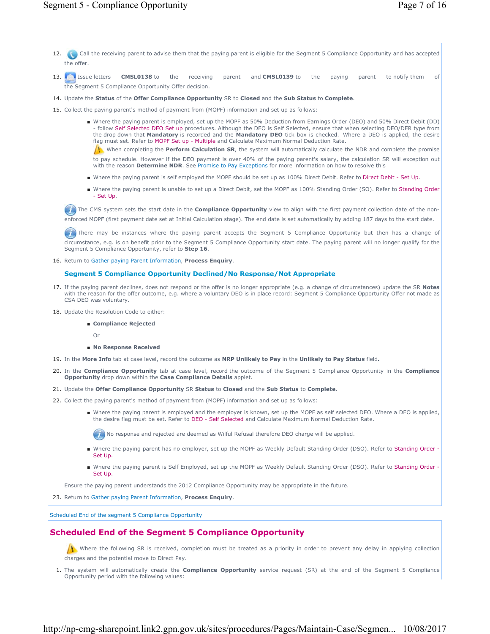- 12. Call the receiving parent to advise them that the paying parent is eligible for the Segment 5 Compliance Opportunity and has accepted the offer.
- **CMSL0138** to the receiving parent and **CMSL0139** to the paying parent to notify them of the Segment 5 Compliance Opportunity Offer decision. 13. **I** Issue letters
- 14. Update the **Status** of the **Offer Compliance Opportunity** SR to **Closed** and the **Sub Status** to **Complete**.
- 15. Collect the paying parent's method of payment from (MOPF) information and set up as follows:
	- Where the paying parent is employed, set up the MOPF as 50% Deduction from Earnings Order (DEO) and 50% Direct Debit (DD) - follow Self Selected DEO Set up procedures. Although the DEO is Self Selected, ensure that when selecting DEO/DER type from the drop down that **Mandatory** is recorded and the **Mandatory DEO** tick box is checked. Where a DEO is applied, the desire flag must set. Refer to MOPF Set up - Multiple and Calculate Maximum Normal Deduction Rate.

When completing the **Perform Calculation SR**, the system will automatically calculate the NDR and complete the promise to pay schedule. However if the DEO payment is over 40% of the paying parent's salary, the calculation SR will exception out with the reason **Determine NDR**. See Promise to Pay Exceptions for more information on how to resolve this

- Where the paying parent is self employed the MOPF should be set up as 100% Direct Debit. Refer to Direct Debit Set Up.
- Where the paying parent is unable to set up a Direct Debit, set the MOPF as 100% Standing Order (SO). Refer to Standing Order - Set Up.

The CMS system sets the start date in the **Compliance Opportunity** view to align with the first payment collection date of the nonenforced MOPF (first payment date set at Initial Calculation stage). The end date is set automatically by adding 187 days to the start date.

There may be instances where the paying parent accepts the Segment 5 Compliance Opportunity but then has a change of circumstance, e.g. is on benefit prior to the Segment 5 Compliance Opportunity start date. The paying parent will no longer qualify for the Segment 5 Compliance Opportunity, refer to **Step 16**.

16. Return to Gather paying Parent Information, **Process Enquiry**.

# **Segment 5 Compliance Opportunity Declined/No Response/Not Appropriate**

- If the paying parent declines, does not respond or the offer is no longer appropriate (e.g. a change of circumstances) update the SR **Notes** 17. with the reason for the offer outcome, e.g. where a voluntary DEO is in place record: Segment 5 Compliance Opportunity Offer not made as CSA DEO was voluntary.
- 18. Update the Resolution Code to either:

# ■ Compliance Rejected

- Or
- **No Response Received**
- 19. In the **More Info** tab at case level, record the outcome as **NRP Unlikely to Pay** in the **Unlikely to Pay Status** field**.**
- 20. In the **Compliance Opportunity** tab at case level, record the outcome of the Segment 5 Compliance Opportunity in the *Compliance* **Opportunity** drop down within the **Case Compliance Details** applet.
- 21. Update the **Offer Compliance Opportunity** SR **Status** to **Closed** and the **Sub Status** to **Complete**.
- 22. Collect the paying parent's method of payment from (MOPF) information and set up as follows:
	- Where the paying parent is employed and the employer is known, set up the MOPF as self selected DEO. Where a DEO is applied, the desire flag must be set. Refer to DEO - Self Selected and Calculate Maximum Normal Deduction Rate.

( $\bullet$ ) No response and rejected are deemed as Wilful Refusal therefore DEO charge will be applied.

- Where the paying parent has no employer, set up the MOPF as Weekly Default Standing Order (DSO). Refer to Standing Order -Set Up.
- Where the paying parent is Self Employed, set up the MOPF as Weekly Default Standing Order (DSO). Refer to Standing Order -Set Up.

Ensure the paying parent understands the 2012 Compliance Opportunity may be appropriate in the future.

23. Return to Gather paying Parent Information, **Process Enquiry**.

Scheduled End of the segment 5 Compliance Opportunity

# **Scheduled End of the Segment 5 Compliance Opportunity**

Where the following SR is received, completion must be treated as a priority in order to prevent any delay in applying collection charges and the potential move to Direct Pay.

1. The system will automatically create the **Compliance Opportunity** service request (SR) at the end of the Segment 5 Compliance Opportunity period with the following values: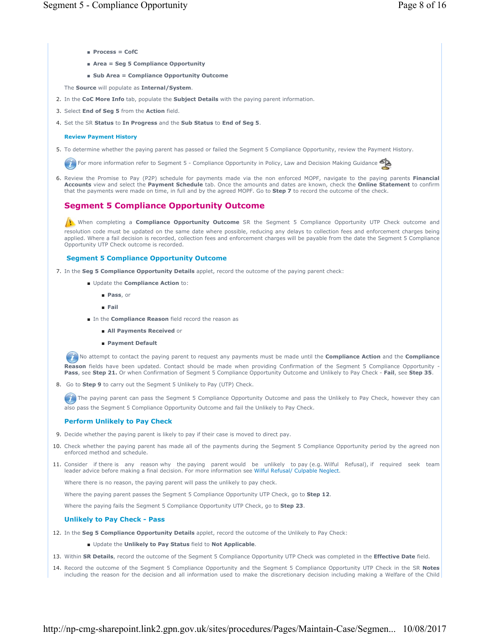- **Process = CofC**
- **Area = Seg 5 Compliance Opportunity**
- Sub Area = Compliance Opportunity Outcome

The **Source** will populate as **Internal/System**.

- 2. In the **CoC More Info** tab, populate the **Subject Details** with the paying parent information.
- 3. Select **End of Seg 5** from the **Action** field.
- **4.** Set the SR **Status** to In Progress and the Sub Status to End of Seg 5.

#### **Review Payment History**

5. To determine whether the paying parent has passed or failed the Segment 5 Compliance Opportunity, review the Payment History.

**For more information refer to Segment 5 - Compliance Opportunity in Policy, Law and Decision Making Guidance** 

6. Review the Promise to Pay (P2P) schedule for payments made via the non enforced MOPF, navigate to the paying parents Financial **Accounts** view and select the **Payment Schedule** tab. Once the amounts and dates are known, check the **Online Statement** to confirm that the payments were made on time, in full and by the agreed MOPF. Go to **Step 7** to record the outcome of the check.

# **Segment 5 Compliance Opportunity Outcome**

When completing a **Compliance Opportunity Outcome** SR the Segment 5 Compliance Opportunity UTP Check outcome and resolution code must be updated on the same date where possible, reducing any delays to collection fees and enforcement charges being applied. Where a fail decision is recorded, collection fees and enforcement charges will be payable from the date the Segment 5 Compliance Opportunity UTP Check outcome is recorded.

#### **Segment 5 Compliance Opportunity Outcome**

- 7. In the **Seg 5 Compliance Opportunity Details** applet, record the outcome of the paying parent check:
	- Update the **Compliance Action** to:
		- **Pass**, or
		- **Fail**
	- In the **Compliance Reason** field record the reason as
		- **All Payments Received** or
		- **Payment Default**

 No attempt to contact the paying parent to request any payments must be made until the **Compliance Action** and the **Compliance**  Reason fields have been updated. Contact should be made when providing Confirmation of the Segment 5 Compliance Opportunity -<br>Pass, see Step 21. Or when Confirmation of Segment 5 Compliance Opportunity Outcome and Unlikely

8. Go to **Step 9** to carry out the Segment 5 Unlikely to Pay (UTP) Check.

The paying parent can pass the Segment 5 Compliance Opportunity Outcome and pass the Unlikely to Pay Check, however they can also pass the Segment 5 Compliance Opportunity Outcome and fail the Unlikely to Pay Check.

### **Perform Unlikely to Pay Check**

- 9. Decide whether the paying parent is likely to pay if their case is moved to direct pay.
- 10. Check whether the paying parent has made all of the payments during the Segment 5 Compliance Opportunity period by the agreed non enforced method and schedule.
- 11. Consider if there is any reason why the paying parent would be unlikely to pay (e.g. Wilful Refusal), if required seek team leader advice before making a final decision. For more information see Wilful Refusal/ Culpable Neglect.

Where there is no reason, the paying parent will pass the unlikely to pay check.

Where the paying parent passes the Segment 5 Compliance Opportunity UTP Check, go to **Step 12**.

Where the paying fails the Segment 5 Compliance Opportunity UTP Check, go to **Step 23**.

#### **Unlikely to Pay Check - Pass**

- 12. In the **Seg 5 Compliance Opportunity Details** applet, record the outcome of the Unlikely to Pay Check:
	- Update the **Unlikely to Pay Status** field to **Not Applicable**.
- 13. Within **SR Details**, record the outcome of the Segment 5 Compliance Opportunity UTP Check was completed in the **Effective Date** field.
- 14. Record the outcome of the Segment 5 Compliance Opportunity and the Segment 5 Compliance Opportunity UTP Check in the SR Notes including the reason for the decision and all information used to make the discretionary decision including making a Welfare of the Child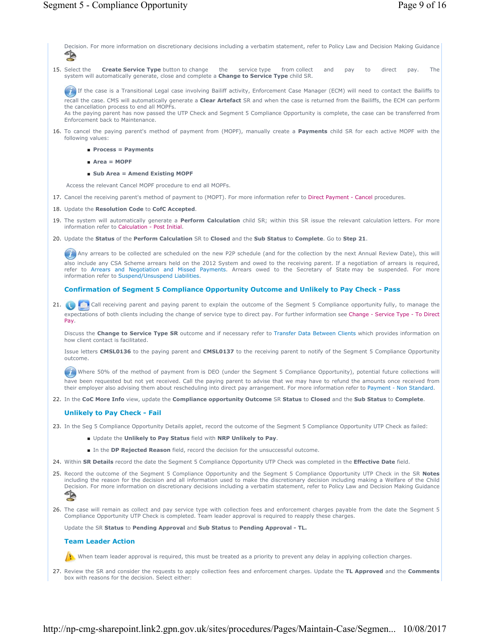Decision. For more information on discretionary decisions including a verbatim statement, refer to Policy Law and Decision Making Guidance<br>
S **Create Service Type** button to change the service type from collect and pay to direct pay. The system will automatically generate, close and complete a **Change to Service Type** child SR. If the case is a Transitional Legal case involving Bailiff activity, Enforcement Case Manager (ECM) will need to contact the Bailiffs to recall the case. CMS will automatically generate a **Clear Artefact** SR and when the case is returned from the Bailiffs, the ECM can perform the cancellation process to end all MOPFs. As the paying parent has now passed the UTP Check and Segment 5 Compliance Opportunity is complete, the case can be transferred from Enforcement back to Maintenance. 15. Select the 16. To cancel the paying parent's method of payment from (MOPF), manually create a **Payments** child SR for each active MOPF with the following values: ■ **Process = Payments** ■ **Area = MOPF** ■ **Sub Area = Amend Existing MOPF** Access the relevant Cancel MOPF procedure to end all MOPFs. 17. Cancel the receiving parent's method of payment to (MOPT). For more information refer to Direct Payment - Cancel procedures. 18. Update the **Resolution Code** to **CofC Accepted**. 19. The system will automatically generate a **Perform Calculation** child SR; within this SR issue the relevant calculation letters. For more information refer to Calculation - Post Initial. 20. Update the Status of the Perform Calculation SR to Closed and the Sub Status to Complete. Go to Step 21. Any arrears to be collected are scheduled on the new P2P schedule (and for the collection by the next Annual Review Date), this will also include any CSA Scheme arrears held on the 2012 System and owed to the receiving parent. If a negotiation of arrears is required, refer to Arrears and Negotiation and Missed Payments. Arrears owed to the Secretary of State may be suspended. For more information refer to Suspend/Unsuspend Liabilities. **Confirmation of Segment 5 Compliance Opportunity Outcome and Unlikely to Pay Check - Pass** 21. **Call receiving parent and paying parent to explain the outcome of the Segment 5 Compliance opportunity fully, to manage the** expectations of both clients including the change of service type to direct pay. For further information see Change - Service Type - To Direct Pay. Discuss the **Change to Service Type SR** outcome and if necessary refer to Transfer Data Between Clients which provides information on how client contact is facilitated. Issue letters **CMSL0136** to the paying parent and **CMSL0137** to the receiving parent to notify of the Segment 5 Compliance Opportunity outcome. Where 50% of the method of payment from is DEO (under the Segment 5 Compliance Opportunity), potential future collections will have been requested but not yet received. Call the paying parent to advise that we may have to refund the amounts once received from their employer also advising them about rescheduling into direct pay arrangement. For more information refer to Payment - Non Standard. 22. In the **CoC More Info** view, update the **Compliance opportunity Outcome** SR **Status** to **Closed** and the **Sub Status** to **Complete**. **Unlikely to Pay Check - Fail** 23. In the Seg 5 Compliance Opportunity Details applet, record the outcome of the Segment 5 Compliance Opportunity UTP Check as failed: ■ Update the **Unlikely to Pay Status** field with **NRP Unlikely to Pay**. ■ In the **DP Rejected Reason** field, record the decision for the unsuccessful outcome. 24. Within **SR Details** record the date the Segment 5 Compliance Opportunity UTP Check was completed in the **Effective Date** field. 25. Record the outcome of the Segment 5 Compliance Opportunity and the Segment 5 Compliance Opportunity UTP Check in the SR Notes including the reason for the decision and all information used to make the discretionary decision including making a Welfare of the Child Decision. For more information on discretionary decisions including a verbatim statement, refer to Policy Law and Decision Making Guidance<br>
S 26. The case will remain as collect and pay service type with collection fees and enforcement charges payable from the date the Segment 5 Compliance Opportunity UTP Check is completed. Team leader approval is required to reapply these charges. Update the SR **Status** to **Pending Approval** and **Sub Status** to **Pending Approval - TL. Team Leader Action** When team leader approval is required, this must be treated as a priority to prevent any delay in applying collection charges. 27. Review the SR and consider the requests to apply collection fees and enforcement charges. Update the TL Approved and the Comments

box with reasons for the decision. Select either: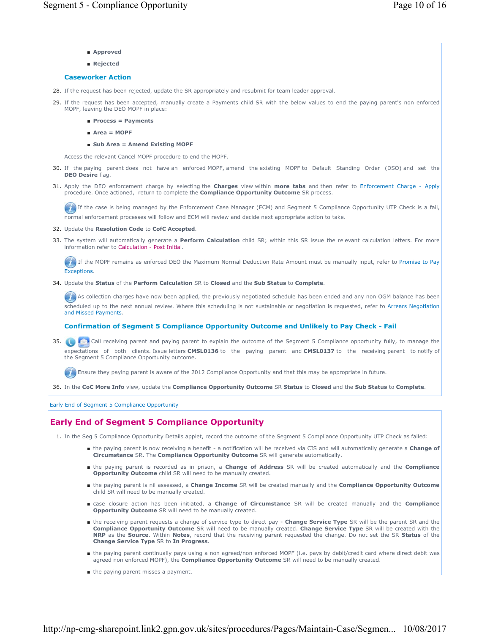- **Approved**
- **Rejected**

#### **Caseworker Action**

28. If the request has been rejected, update the SR appropriately and resubmit for team leader approval.

29. If the request has been accepted, manually create a Payments child SR with the below values to end the paying parent's non enforced MOPF, leaving the DEO MOPF in place:

- **Process = Payments**
- **Area = MOPF**
- **Sub Area = Amend Existing MOPF**

Access the relevant Cancel MOPF procedure to end the MOPF.

- If the paying parent does not have an enforced MOPF, amend the existing MOPF to Default Standing Order (DSO) and set the 30. **DEO Desire** flag.
- 31. Apply the DEO enforcement charge by selecting the **Charges** view within **more tabs** and then refer to Enforcement Charge Apply procedure. Once actioned, return to complete the **Compliance Opportunity Outcome** SR process.

If the case is being managed by the Enforcement Case Manager (ECM) and Segment 5 Compliance Opportunity UTP Check is a fail, normal enforcement processes will follow and ECM will review and decide next appropriate action to take.

#### 32. Update the **Resolution Code** to **CofC Accepted**.

33. The system will automatically generate a Perform Calculation child SR; within this SR issue the relevant calculation letters. For more information refer to Calculation - Post Initial.

If the MOPF remains as enforced DEO the Maximum Normal Deduction Rate Amount must be manually input, refer to Promise to Pay **Exceptions** 

34. Update the **Status** of the **Perform Calculation** SR to **Closed** and the **Sub Status** to **Complete**.

As collection charges have now been applied, the previously negotiated schedule has been ended and any non OGM balance has been scheduled up to the next annual review. Where this scheduling is not sustainable or negotiation is requested, refer to Arrears Negotiation and Missed Payments.

## **Confirmation of Segment 5 Compliance Opportunity Outcome and Unlikely to Pay Check - Fail**

 Call receiving parent and paying parent to explain the outcome of the Segment 5 Compliance opportunity fully, to manage the 35. expectations of both clients. Issue letters **CMSL0136** to the paying parent and **CMSL0137** to the receiving parent to notify of the Segment 5 Compliance Opportunity outcome.

**Ensure they paying parent is aware of the 2012 Compliance Opportunity and that this may be appropriate in future.** 

36. In the **CoC More Info** view, update the **Compliance Opportunity Outcome** SR **Status** to **Closed** and the **Sub Status** to **Complete**.

Early End of Segment 5 Compliance Opportunity

# **Early End of Segment 5 Compliance Opportunity**

1. In the Seg 5 Compliance Opportunity Details applet, record the outcome of the Segment 5 Compliance Opportunity UTP Check as failed:

- the paying parent is now receiving a benefit a notification will be received via CIS and will automatically generate a Change of **Circumstance** SR. The **Compliance Opportunity Outcome** SR will generate automatically.
- the paying parent is recorded as in prison, a **Change of Address** SR will be created automatically and the **Compliance Opportunity Outcome** child SR will need to be manually created.
- the paying parent is nil assessed, a **Change Income** SR will be created manually and the **Compliance Opportunity Outcome** child SR will need to be manually created.
- case closure action has been initiated, a **Change of Circumstance** SR will be created manually and the **Compliance Opportunity Outcome** SR will need to be manually created.
- the receiving parent requests a change of service type to direct pay Change Service Type SR will be the parent SR and the **Compliance Opportunity Outcome** SR will need to be manually created. **Change Service Type** SR will be created with the **NRP** as the **Source**. Within **Notes**, record that the receiving parent requested the change. Do not set the SR **Status** of the **Change Service Type** SR to **In Progress**.
- the paying parent continually pays using a non agreed/non enforced MOPF (i.e. pays by debit/credit card where direct debit was agreed non enforced MOPF), the **Compliance Opportunity Outcome** SR will need to be manually created.
- the paying parent misses a payment.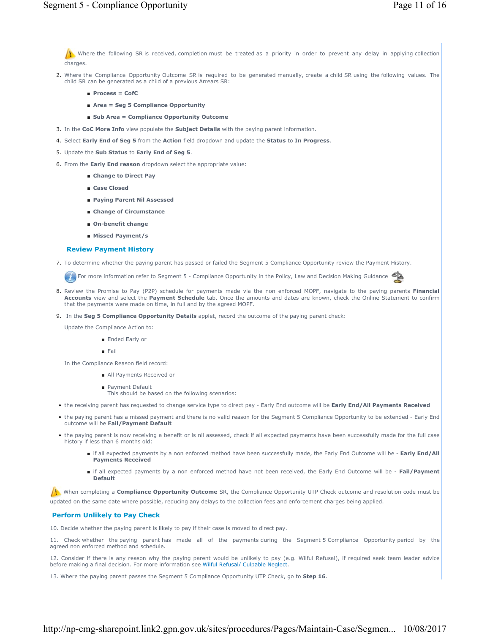Where the following SR is received, completion must be treated as a priority in order to prevent any delay in applying collection charges.

- 2. Where the Compliance Opportunity Outcome SR is required to be generated manually, create a child SR using the following values. The child SR can be generated as a child of a previous Arrears SR:
	- **Process = CofC**
	- **Area = Seg 5 Compliance Opportunity**
	- Sub Area = Compliance Opportunity Outcome
- 3. In the **CoC More Info** view populate the **Subject Details** with the paying parent information.
- 4. Select **Early End of Seg 5** from the **Action** field dropdown and update the **Status** to **In Progress**.
- 5. Update the **Sub Status** to **Early End of Seg 5**.
- 6. From the **Early End reason** dropdown select the appropriate value:
	- **Change to Direct Pay**
	- **Case Closed**
	- **Paying Parent Nil Assessed**
	- **Change of Circumstance**
	- **On-benefit change**
	- **Missed Payment/s**

#### **Review Payment History**

7. To determine whether the paying parent has passed or failed the Segment 5 Compliance Opportunity review the Payment History.

For more information refer to Segment 5 - Compliance Opportunity in the Policy, Law and Decision Making Guidance

- Review the Promise to Pay (P2P) schedule for payments made via the non enforced MOPF, navigate to the paying parents **Financial**  8. **Accounts** view and select the **Payment Schedule** tab. Once the amounts and dates are known, check the Online Statement to confirm that the payments were made on time, in full and by the agreed MOPF.
- 9. In the **Seg 5 Compliance Opportunity Details** applet, record the outcome of the paying parent check:
	- Update the Compliance Action to:
		- Ended Early or
		- Fail

In the Compliance Reason field record:

- All Payments Received or
- Payment Default
- This should be based on the following scenarios:
- the receiving parent has requested to change service type to direct pay Early End outcome will be **Early End/All Payments Received**
- the paying parent has a missed payment and there is no valid reason for the Segment 5 Compliance Opportunity to be extended Early End outcome will be **Fail/Payment Default**
- the paying parent is now receiving a benefit or is nil assessed, check if all expected payments have been successfully made for the full case history if less than 6 months old:
	- if all expected payments by a non enforced method have been successfully made, the Early End Outcome will be Early End/All **Payments Received**
	- if all expected payments by a non enforced method have not been received, the Early End Outcome will be Fail/Payment **Default**

When completing a **Compliance Opportunity Outcome** SR, the Compliance Opportunity UTP Check outcome and resolution code must be updated on the same date where possible, reducing any delays to the collection fees and enforcement charges being applied.

#### **Perform Unlikely to Pay Check**

10. Decide whether the paying parent is likely to pay if their case is moved to direct pay.

11. Check whether the paying parent has made all of the payments during the Segment 5 Compliance Opportunity period by the agreed non enforced method and schedule.

12. Consider if there is any reason why the paying parent would be unlikely to pay (e.g. Wilful Refusal), if required seek team leader advice before making a final decision. For more information see Wilful Refusal/ Culpable Neglect.

13. Where the paying parent passes the Segment 5 Compliance Opportunity UTP Check, go to **Step 16**.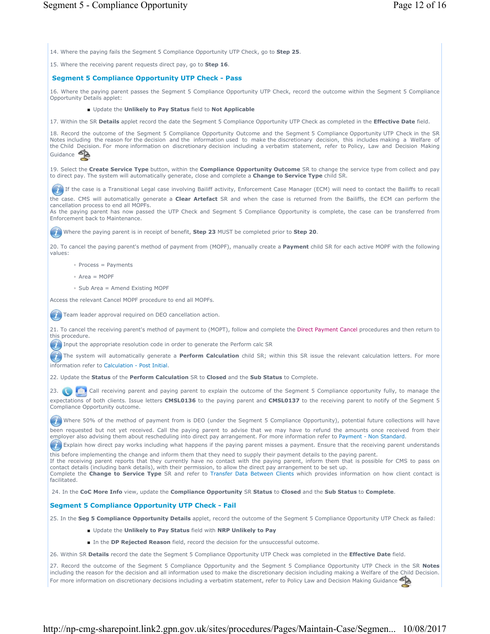14. Where the paying fails the Segment 5 Compliance Opportunity UTP Check, go to **Step 25**.

15. Where the receiving parent requests direct pay, go to **Step 16**.

# **Segment 5 Compliance Opportunity UTP Check - Pass**

16. Where the paying parent passes the Segment 5 Compliance Opportunity UTP Check, record the outcome within the Segment 5 Compliance Opportunity Details applet:

## ■ Update the **Unlikely to Pay Status** field to **Not Applicable**

17. Within the SR **Details** applet record the date the Segment 5 Compliance Opportunity UTP Check as completed in the **Effective Date** field.

18. Record the outcome of the Segment 5 Compliance Opportunity Outcome and the Segment 5 Compliance Opportunity UTP Check in the SR Notes including the reason for the decision and the information used to make the discretionary decision, this includes making a Welfare of the Child Decision. For more information on discretionary decision including a verbatim statement, refer to Policy, Law and Decision Making Guidance **Sta** 

19. Select the **Create Service Type** button, within the **Compliance Opportunity Outcome** SR to change the service type from collect and pay to direct pay. The system will automatically generate, close and complete a **Change to Service Type** child SR.

If the case is a Transitional Legal case involving Bailiff activity, Enforcement Case Manager (ECM) will need to contact the Bailiffs to recall

the case. CMS will automatically generate a **Clear Artefact** SR and when the case is returned from the Bailiffs, the ECM can perform the cancellation process to end all MOPFs.

As the paying parent has now passed the UTP Check and Segment 5 Compliance Opportunity is complete, the case can be transferred from Enforcement back to Maintenance.

Where the paying parent is in receipt of benefit, **Step 23** MUST be completed prior to **Step 20**.

20. To cancel the paying parent's method of payment from (MOPF), manually create a **Payment** child SR for each active MOPF with the following values:

◦ Process = Payments

- Area = MOPF
- Sub Area = Amend Existing MOPF

Access the relevant Cancel MOPF procedure to end all MOPFs.

**Team leader approval required on DEO cancellation action.** 

21. To cancel the receiving parent's method of payment to (MOPT), follow and complete the Direct Payment Cancel procedures and then return to this procedure.

Input the appropriate resolution code in order to generate the Perform calc SR

The system will automatically generate a **Perform Calculation** child SR; within this SR issue the relevant calculation letters. For more information refer to Calculation - Post Initial.

22. Update the **Status** of the **Perform Calculation** SR to **Closed** and the **Sub Status** to Complete.

23. Call receiving parent and paying parent to explain the outcome of the Segment 5 Compliance opportunity fully, to manage the expectations of both clients. Issue letters **CMSL0136** to the paying parent and **CMSL0137** to the receiving parent to notify of the Segment 5 Compliance Opportunity outcome.

(1) Where 50% of the method of payment from is DEO (under the Segment 5 Compliance Opportunity), potential future collections will have been requested but not yet received. Call the paying parent to advise that we may have to refund the amounts once received from their employer also advising them about rescheduling into direct pay arrangement. For more information refer to Payment - Non Standard.

**Explain how direct pay works including what happens if the paying parent misses a payment. Ensure that the receiving parent understands** this before implementing the change and inform them that they need to supply their payment details to the paying parent.

If the receiving parent reports that they currently have no contact with the paying parent, inform them that is possible for CMS to pass on contact details (including bank details), with their permission, to allow the direct pay arrangement to be set up. Complete the **Change to Service Type** SR and refer to Transfer Data Between Clients which provides information on how client contact is facilitated.

24. In the **CoC More Info** view, update the **Compliance Opportunity** SR **Status** to **Closed** and the **Sub Status** to **Complete**.

## **Segment 5 Compliance Opportunity UTP Check - Fail**

25. In the **Seg 5 Compliance Opportunity Details** applet, record the outcome of the Segment 5 Compliance Opportunity UTP Check as failed:

- Update the **Unlikely to Pay Status** field with **NRP Unlikely to Pay**
- In the **DP Rejected Reason** field, record the decision for the unsuccessful outcome.

26. Within SR **Details** record the date the Segment 5 Compliance Opportunity UTP Check was completed in the **Effective Date** field.

27. Record the outcome of the Segment 5 Compliance Opportunity and the Segment 5 Compliance Opportunity UTP Check in the SR **Notes** including the reason for the decision and all information used to make the discretionary decision including making a Welfare of the Child Decision. For more information on discretionary decisions including a verbatim statement, refer to Policy Law and Decision Making Guidance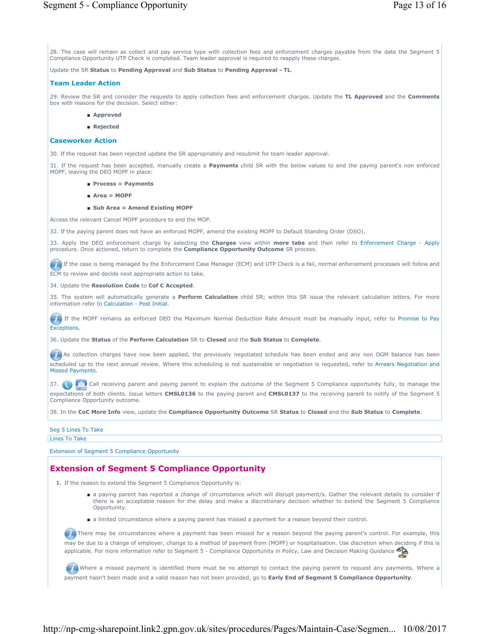28. The case will remain as collect and pay service type with collection fees and enforcement charges payable from the date the Segment 5 Compliance Opportunity UTP Check is completed. Team leader approval is required to reapply these charges.

Update the SR **Status** to **Pending Approval** and **Sub Status** to **Pending Approval - TL**.

## **Team Leader Action**

29. Review the SR and consider the requests to apply collection fees and enforcement charges. Update the **TL Approved** and the **Comments** box with reasons for the decision. Select either:

- **Approved**
- **Rejected**

## **Caseworker Action**

30. If the request has been rejected update the SR appropriately and resubmit for team leader approval.

31. If the request has been accepted, manually create a **Payments** child SR with the below values to end the paying parent's non enforced MOPF, leaving the DEO MOPF in place:

- **Process = Payments**
- **Area = MOPF**
- **Sub Area = Amend Existing MOPF**

Access the relevant Cancel MOPF procedure to end the MOP.

32. If the paying parent does not have an enforced MOPF, amend the existing MOPF to Default Standing Order (DSO).

33. Apply the DEO enforcement charge by selecting the **Charges** view within **more tabs** and then refer to Enforcement Charge - Apply procedure. Once actioned, return to complete the **Compliance Opportunity Outcome** SR process.

If the case is being managed by the Enforcement Case Manager (ECM) and UTP Check is a fail, normal enforcement processes will follow and ECM to review and decide next appropriate action to take.

34. Update the **Resolution Code** to **Cof C Accepted**.

35. The system will automatically generate a **Perform Calculation** child SR; within this SR issue the relevant calculation letters. For more information refer to Calculation - Post Initial.

**If the MOPF remains as enforced DEO the Maximum Normal Deduction Rate Amount must be manually input, refer to Promise to Pay** Exceptions.

36. Update the **Status** of the **Perform Calculation** SR to **Closed** and the **Sub Status** to **Complete**.

As collection charges have now been applied, the previously negotiated schedule has been ended and any non OGM balance has been scheduled up to the next annual review. Where this scheduling is not sustainable or negotiation is requested, refer to Arrears Negotiation and Missed Payments.

37. Call receiving parent and paying parent to explain the outcome of the Segment 5 Compliance opportunity fully, to manage the expectations of both clients. Issue letters **CMSL0136** to the paying parent and **CMSL0137** to the receiving parent to notify of the Segment 5 Compliance Opportunity outcome.

38. In the **CoC More Info** view, update the **Compliance Opportunity Outcome** SR **Status** to **Closed** and the **Sub Status** to **Complete**.

# Seg 5 Lines To Take

Lines To Take

Extension of Segment 5 Compliance Opportunity

# **Extension of Segment 5 Compliance Opportunity**

1. If the reason to extend the Segment 5 Compliance Opportunity is:

- a paying parent has reported a change of circumstance which will disrupt payment/s. Gather the relevant details to consider if there is an acceptable reason for the delay and make a discretionary decision whether to extend the Segment 5 Compliance Opportunity.
- a limited circumstance where a paying parent has missed a payment for a reason beyond their control.

There may be circumstances where a payment has been missed for a reason beyond the paying parent's control. For example, this may be due to a change of employer, change to a method of payment from (MOPF) or hospitalisation. Use discretion when deciding if this is applicable. For more information refer to Segment 5 - Compliance Opportunity in Policy, Law and Decision Making Guidance

Where a missed payment is identified there must be no attempt to contact the paying parent to request any payments. Where a payment hasn't been made and a valid reason has not been provided, go to **Early End of Segment 5 Compliance Opportunity**.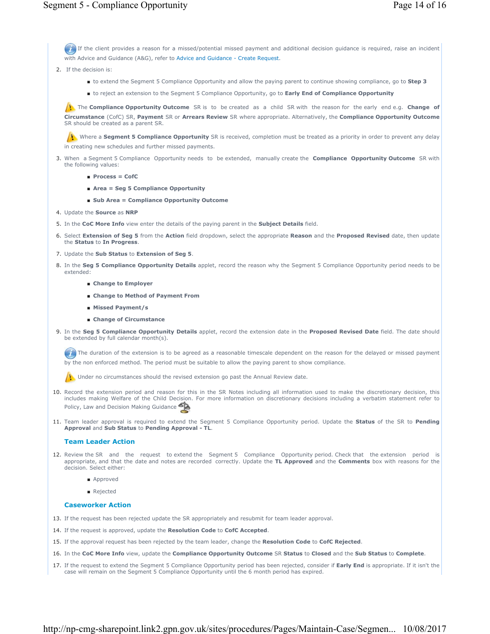If the client provides a reason for a missed/potential missed payment and additional decision guidance is required, raise an incident with Advice and Guidance (A&G), refer to Advice and Guidance - Create Request.

- 2. If the decision is:
	- to extend the Segment 5 Compliance Opportunity and allow the paying parent to continue showing compliance, go to **Step 3**
	- to reject an extension to the Segment 5 Compliance Opportunity, go to **Early End of Compliance Opportunity**

The **Compliance Opportunity Outcome** SR is to be created as a child SR with the reason for the early end e.g. **Change of Circumstance** (CofC) SR, **Payment** SR or **Arrears Review** SR where appropriate. Alternatively, the **Compliance Opportunity Outcome** SR should be created as a parent SR.

Where a **Segment 5 Compliance Opportunity** SR is received, completion must be treated as a priority in order to prevent any delay in creating new schedules and further missed payments.

- 3. When a Segment 5 Compliance Opportunity needs to be extended, manually create the **Compliance Opportunity Outcome** SR with the following values:
	- **Process = CofC**
	- **Area = Seg 5 Compliance Opportunity**
	- Sub Area = Compliance Opportunity Outcome
- 4. Update the **Source** as **NRP**
- 5. In the **CoC More Info** view enter the details of the paying parent in the **Subject Details** field.
- Select **Extension of Seg 5** from the **Action** field dropdown, select the appropriate **Reason** and the **Proposed Revised** date, then update 6. the **Status** to **In Progress**.
- 7. Update the **Sub Status** to **Extension of Seg 5**.
- 8. In the Seg 5 Compliance Opportunity Details applet, record the reason why the Segment 5 Compliance Opportunity period needs to be extended:
	- **Change to Employer**
	- **Change to Method of Payment From**
	- **Missed Payment/s**
	- **Change of Circumstance**
- 9. In the Seg 5 Compliance Opportunity Details applet, record the extension date in the Proposed Revised Date field. The date should be extended by full calendar month(s).

The duration of the extension is to be agreed as a reasonable timescale dependent on the reason for the delayed or missed payment by the non enforced method. The period must be suitable to allow the paying parent to show compliance.

Under no circumstances should the revised extension go past the Annual Review date.

- 10. Record the extension period and reason for this in the SR Notes including all information used to make the discretionary decision, this includes making Welfare of the Child Decision. For more information on discretionary decisions including a verbatim statement refer to Policy, Law and Decision Making Guidance
- 11. Team leader approval is required to extend the Segment 5 Compliance Opportunity period. Update the **Status** of the SR to Pending **Approval** and **Sub Status** to **Pending Approval - TL**.

### **Team Leader Action**

- 12. Review the SR and the request to extend the Segment 5 Compliance Opportunity period. Check that the extension period is appropriate, and that the date and notes are recorded correctly. Update the **TL Approved** and the **Comments** box with reasons for the decision. Select either:
	- Approved
	- Rejected

## **Caseworker Action**

- 13. If the request has been rejected update the SR appropriately and resubmit for team leader approval.
- 14. If the request is approved, update the **Resolution Code** to **CofC Accepted**.
- 15. If the approval request has been rejected by the team leader, change the **Resolution Code** to **CofC Rejected**.
- 16. In the **CoC More Info** view, update the **Compliance Opportunity Outcome** SR **Status** to **Closed** and the **Sub Status** to **Complete**.
- 17. If the request to extend the Segment 5 Compliance Opportunity period has been rejected, consider if **Early End** is appropriate. If it isn't the case will remain on the Segment 5 Compliance Opportunity until the 6 month period has expired.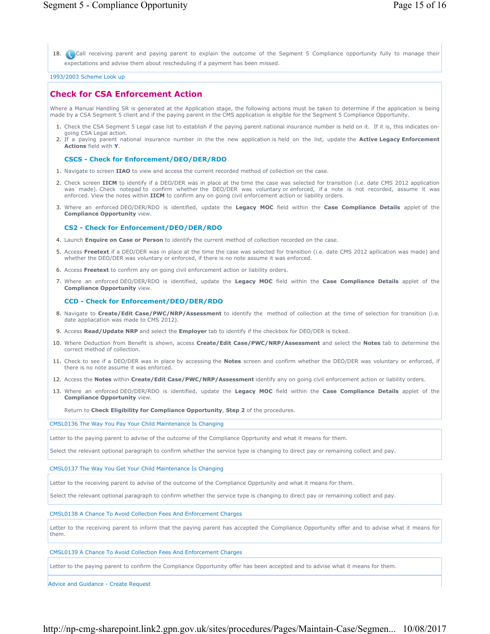18. Call receiving parent and paying parent to explain the outcome of the Segment 5 Compliance opportunity fully to manage their expectations and advise them about rescheduling if a payment has been missed.

1993/2003 Scheme Look up

# **Check for CSA Enforcement Action**

Where a Manual Handling SR is generated at the Application stage, the following actions must be taken to determine if the application is being made by a CSA Segment 5 client and if the paying parent in the CMS application is eligible for the Segment 5 Compliance Opportunity.

- 1. Check the CSA Segment 5 Legal case list to establish if the paying parent national insurance number is held on it. If it is, this indicates ongoing CSA Legal action.
- If a paying parent national insurance number in the the new application is held on the list, update the **Active Legacy Enforcement** 2. **Actions** field with **Y**.

#### **CSCS - Check for Enforcement/DEO/DER/RDO**

- 1. Navigate to screen **IIAO** to view and access the current recorded method of collection on the case.
- 2. Check screen IICM to identify if a DEO/DER was in place at the time the case was selected for transition (i.e. date CMS 2012 application was made). Check notepad to confirm whether the DEO/DER was voluntary or enforced, if a note is not recorded, assume it was enforced. View the notes within **IICM** to confirm any on going civil enforcement action or liability orders.
- 3. Where an enforced DEO/DER/RDO is identified, update the Legacy MOC field within the Case Compliance Details applet of the **Compliance Opportunity** view.

#### **CS2 - Check for Enforcement/DEO/DER/RDO**

- 4. Launch **Enquire on Case or Person** to identify the current method of collection recorded on the case.
- 5. Access Freetext if a DEO/DER was in place at the time the case was selected for transition (i.e. date CMS 2012 apllication was made) and whether the DEO/DER was voluntary or enforced, if there is no note assume it was enforced.
- 6. Access **Freetext** to confirm any on going civil enforcement action or liability orders.
- 7. Where an enforced DEO/DER/RDO is identified, update the Legacy MOC field within the Case Compliance Details applet of the **Compliance Opportunity** view.

#### **CCD - Check for Enforcement/DEO/DER/RDO**

- 8. Navigate to Create/Edit Case/PWC/NRP/Assessment to identify the method of collection at the time of selection for transition (i.e. date appliacation was made to CMS 2012).
- 9. Access **Read/Update NRP** and select the **Employer** tab to identify if the checkbox for DEO/DER is ticked.
- Where Deduction from Benefit is shown, access **Create/Edit Case/PWC/NRP/Assessment** and select the **Notes** tab to determine the 10. correct method of collection.
- 11. Check to see if a DEO/DER was in place by accessing the **Notes** screen and confirm whether the DEO/DER was voluntary or enforced, if there is no note assume it was enforced.
- 12. Access the **Notes** within **Create/Edit Case/PWC/NRP/Assessment** identify any on going civil enforcement action or liability orders.
- Where an enforced DEO/DER/RDO is identified, update the **Legacy MOC** field within the **Case Compliance Details** applet of the 13. **Compliance Opportunity** view.

Return to **Check Eligibility for Compliance Opportunity**, **Step 2** of the procedures.

CMSL0136 The Way You Pay Your Child Maintenance Is Changing

Letter to the paying parent to advise of the outcome of the Compliance Opprtunity and what it means for them.

Select the relevant optional paragraph to confirm whether the service type is changing to direct pay or remaining collect and pay.

#### CMSL0137 The Way You Get Your Child Maintenance Is Changing

Letter to the receiving parent to advise of the outcome of the Compliance Opprtunity and what it means for them.

Select the relevant optional paragraph to confirm whether the service type is changing to direct pay or remaining collect and pay.

## CMSL0138 A Chance To Avoid Collection Fees And Enforcement Charges

Letter to the receiving parent to inform that the paying parent has accepted the Compliance Opportunity offer and to advise what it means for them.

#### CMSL0139 A Chance To Avoid Collection Fees And Enforcement Charges

Letter to the paying parent to confirm the Compliance Opportunity offer has been accepted and to advise what it means for them.

Advice and Guidance - Create Request